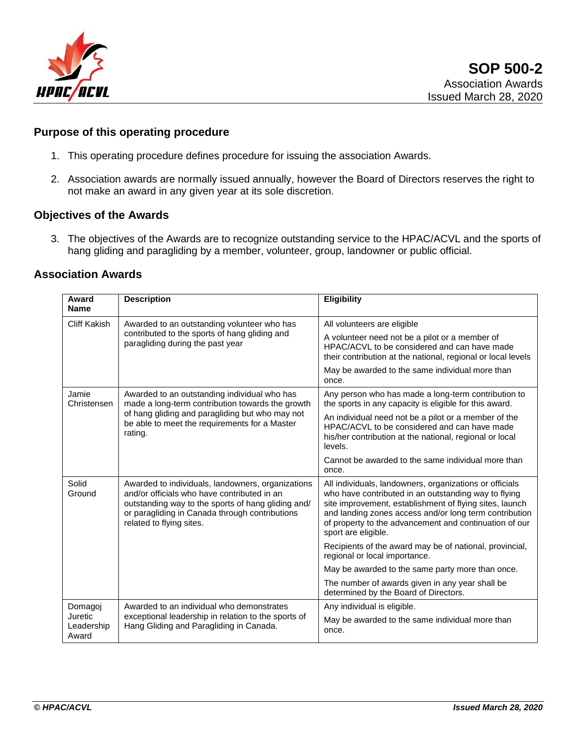

# **Purpose of this operating procedure**

- 1. This operating procedure defines procedure for issuing the association Awards.
- 2. Association awards are normally issued annually, however the Board of Directors reserves the right to not make an award in any given year at its sole discretion.

#### **Objectives of the Awards**

3. The objectives of the Awards are to recognize outstanding service to the HPAC/ACVL and the sports of hang gliding and paragliding by a member, volunteer, group, landowner or public official.

# **Association Awards**

| Award<br><b>Name</b>           | <b>Description</b>                                                                                                                                                                                                                   | <b>Eligibility</b>                                                                                                                                                                                                                                                                                                    |
|--------------------------------|--------------------------------------------------------------------------------------------------------------------------------------------------------------------------------------------------------------------------------------|-----------------------------------------------------------------------------------------------------------------------------------------------------------------------------------------------------------------------------------------------------------------------------------------------------------------------|
| <b>Cliff Kakish</b>            | Awarded to an outstanding volunteer who has<br>contributed to the sports of hang gliding and<br>paragliding during the past year                                                                                                     | All volunteers are eligible                                                                                                                                                                                                                                                                                           |
|                                |                                                                                                                                                                                                                                      | A volunteer need not be a pilot or a member of<br>HPAC/ACVL to be considered and can have made<br>their contribution at the national, regional or local levels                                                                                                                                                        |
|                                |                                                                                                                                                                                                                                      | May be awarded to the same individual more than<br>once.                                                                                                                                                                                                                                                              |
| Jamie<br>Christensen           | Awarded to an outstanding individual who has<br>made a long-term contribution towards the growth<br>of hang gliding and paragliding but who may not<br>be able to meet the requirements for a Master<br>rating.                      | Any person who has made a long-term contribution to<br>the sports in any capacity is eligible for this award.                                                                                                                                                                                                         |
|                                |                                                                                                                                                                                                                                      | An individual need not be a pilot or a member of the<br>HPAC/ACVL to be considered and can have made<br>his/her contribution at the national, regional or local<br>levels.                                                                                                                                            |
|                                |                                                                                                                                                                                                                                      | Cannot be awarded to the same individual more than<br>once.                                                                                                                                                                                                                                                           |
| Solid<br>Ground                | Awarded to individuals, landowners, organizations<br>and/or officials who have contributed in an<br>outstanding way to the sports of hang gliding and/<br>or paragliding in Canada through contributions<br>related to flying sites. | All individuals, landowners, organizations or officials<br>who have contributed in an outstanding way to flying<br>site improvement, establishment of flying sites, launch<br>and landing zones access and/or long term contribution<br>of property to the advancement and continuation of our<br>sport are eligible. |
|                                |                                                                                                                                                                                                                                      | Recipients of the award may be of national, provincial,<br>regional or local importance.                                                                                                                                                                                                                              |
|                                |                                                                                                                                                                                                                                      | May be awarded to the same party more than once.                                                                                                                                                                                                                                                                      |
|                                |                                                                                                                                                                                                                                      | The number of awards given in any year shall be<br>determined by the Board of Directors.                                                                                                                                                                                                                              |
| Domagoj                        | Awarded to an individual who demonstrates                                                                                                                                                                                            | Any individual is eligible.                                                                                                                                                                                                                                                                                           |
| Juretic<br>Leadership<br>Award | exceptional leadership in relation to the sports of<br>Hang Gliding and Paragliding in Canada.                                                                                                                                       | May be awarded to the same individual more than<br>once.                                                                                                                                                                                                                                                              |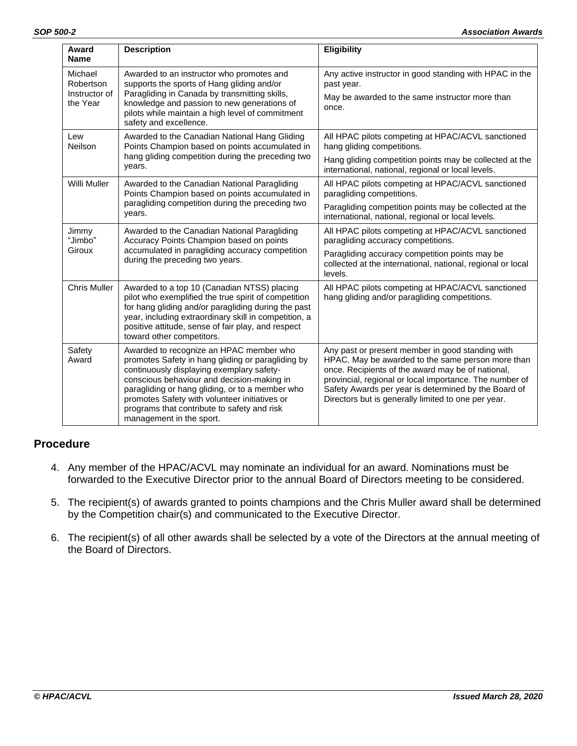| Award<br><b>Name</b>                              | <b>Description</b>                                                                                                                                                                                                                                                                                                                                                     | <b>Eligibility</b>                                                                                                                                                                                                                                                                                                                   |
|---------------------------------------------------|------------------------------------------------------------------------------------------------------------------------------------------------------------------------------------------------------------------------------------------------------------------------------------------------------------------------------------------------------------------------|--------------------------------------------------------------------------------------------------------------------------------------------------------------------------------------------------------------------------------------------------------------------------------------------------------------------------------------|
| Michael<br>Robertson<br>Instructor of<br>the Year | Awarded to an instructor who promotes and<br>supports the sports of Hang gliding and/or<br>Paragliding in Canada by transmitting skills,<br>knowledge and passion to new generations of<br>pilots while maintain a high level of commitment<br>safety and excellence.                                                                                                  | Any active instructor in good standing with HPAC in the<br>past year.                                                                                                                                                                                                                                                                |
|                                                   |                                                                                                                                                                                                                                                                                                                                                                        | May be awarded to the same instructor more than<br>once.                                                                                                                                                                                                                                                                             |
| Lew<br>Neilson                                    | Awarded to the Canadian National Hang Gliding<br>Points Champion based on points accumulated in<br>hang gliding competition during the preceding two<br>years.                                                                                                                                                                                                         | All HPAC pilots competing at HPAC/ACVL sanctioned<br>hang gliding competitions.                                                                                                                                                                                                                                                      |
|                                                   |                                                                                                                                                                                                                                                                                                                                                                        | Hang gliding competition points may be collected at the<br>international, national, regional or local levels.                                                                                                                                                                                                                        |
| Willi Muller                                      | Awarded to the Canadian National Paragliding<br>Points Champion based on points accumulated in<br>paragliding competition during the preceding two<br>years.                                                                                                                                                                                                           | All HPAC pilots competing at HPAC/ACVL sanctioned<br>paragliding competitions.                                                                                                                                                                                                                                                       |
|                                                   |                                                                                                                                                                                                                                                                                                                                                                        | Paragliding competition points may be collected at the<br>international, national, regional or local levels.                                                                                                                                                                                                                         |
| Jimmy<br>"Jimbo"<br>Giroux                        | Awarded to the Canadian National Paragliding<br>Accuracy Points Champion based on points<br>accumulated in paragliding accuracy competition<br>during the preceding two years.                                                                                                                                                                                         | All HPAC pilots competing at HPAC/ACVL sanctioned<br>paragliding accuracy competitions.                                                                                                                                                                                                                                              |
|                                                   |                                                                                                                                                                                                                                                                                                                                                                        | Paragliding accuracy competition points may be<br>collected at the international, national, regional or local<br>levels.                                                                                                                                                                                                             |
| <b>Chris Muller</b>                               | Awarded to a top 10 (Canadian NTSS) placing<br>pilot who exemplified the true spirit of competition<br>for hang gliding and/or paragliding during the past<br>year, including extraordinary skill in competition, a<br>positive attitude, sense of fair play, and respect<br>toward other competitors.                                                                 | All HPAC pilots competing at HPAC/ACVL sanctioned<br>hang gliding and/or paragliding competitions.                                                                                                                                                                                                                                   |
| Safety<br>Award                                   | Awarded to recognize an HPAC member who<br>promotes Safety in hang gliding or paragliding by<br>continuously displaying exemplary safety-<br>conscious behaviour and decision-making in<br>paragliding or hang gliding, or to a member who<br>promotes Safety with volunteer initiatives or<br>programs that contribute to safety and risk<br>management in the sport. | Any past or present member in good standing with<br>HPAC. May be awarded to the same person more than<br>once. Recipients of the award may be of national,<br>provincial, regional or local importance. The number of<br>Safety Awards per year is determined by the Board of<br>Directors but is generally limited to one per year. |

#### **Procedure**

- 4. Any member of the HPAC/ACVL may nominate an individual for an award. Nominations must be forwarded to the Executive Director prior to the annual Board of Directors meeting to be considered.
- 5. The recipient(s) of awards granted to points champions and the Chris Muller award shall be determined by the Competition chair(s) and communicated to the Executive Director.
- 6. The recipient(s) of all other awards shall be selected by a vote of the Directors at the annual meeting of the Board of Directors.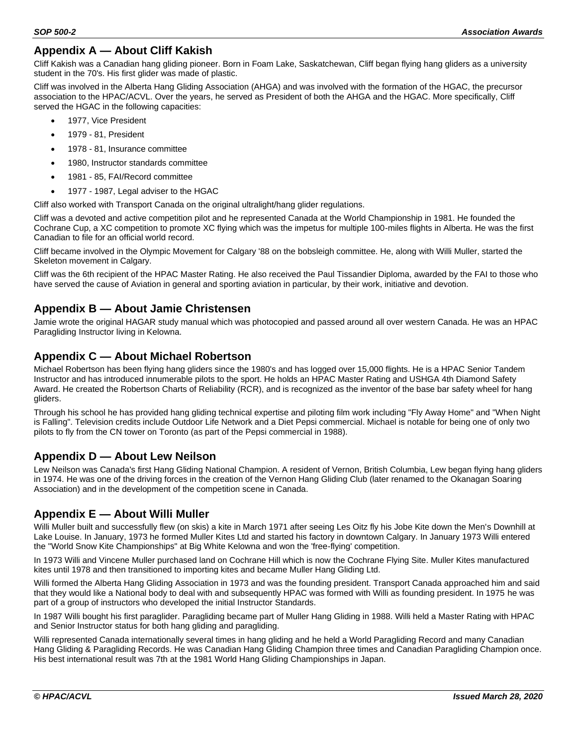# **Appendix A — About Cliff Kakish**

Cliff Kakish was a Canadian hang gliding pioneer. Born in Foam Lake, Saskatchewan, Cliff began flying hang gliders as a university student in the 70's. His first glider was made of plastic.

Cliff was involved in the Alberta Hang Gliding Association (AHGA) and was involved with the formation of the HGAC, the precursor association to the HPAC/ACVL. Over the years, he served as President of both the AHGA and the HGAC. More specifically, Cliff served the HGAC in the following capacities:

- 1977, Vice President
- 1979 81, President
- 1978 81, Insurance committee
- 1980, Instructor standards committee
- 1981 85, FAI/Record committee
- 1977 1987, Legal adviser to the HGAC

Cliff also worked with Transport Canada on the original ultralight/hang glider regulations.

Cliff was a devoted and active competition pilot and he represented Canada at the World Championship in 1981. He founded the Cochrane Cup, a XC competition to promote XC flying which was the impetus for multiple 100-miles flights in Alberta. He was the first Canadian to file for an official world record.

Cliff became involved in the Olympic Movement for Calgary '88 on the bobsleigh committee. He, along with Willi Muller, started the Skeleton movement in Calgary.

Cliff was the 6th recipient of the HPAC Master Rating. He also received the Paul Tissandier Diploma, awarded by the FAI to those who have served the cause of Aviation in general and sporting aviation in particular, by their work, initiative and devotion.

#### **Appendix B — About Jamie Christensen**

Jamie wrote the original HAGAR study manual which was photocopied and passed around all over western Canada. He was an HPAC Paragliding Instructor living in Kelowna.

#### **Appendix C — About Michael Robertson**

Michael Robertson has been flying hang gliders since the 1980's and has logged over 15,000 flights. He is a HPAC Senior Tandem Instructor and has introduced innumerable pilots to the sport. He holds an HPAC Master Rating and USHGA 4th Diamond Safety Award. He created the Robertson Charts of Reliability (RCR), and is recognized as the inventor of the base bar safety wheel for hang gliders.

Through his school he has provided hang gliding technical expertise and piloting film work including "Fly Away Home" and "When Night is Falling". Television credits include Outdoor Life Network and a Diet Pepsi commercial. Michael is notable for being one of only two pilots to fly from the CN tower on Toronto (as part of the Pepsi commercial in 1988).

#### **Appendix D — About Lew Neilson**

Lew Neilson was Canada's first Hang Gliding National Champion. A resident of Vernon, British Columbia, Lew began flying hang gliders in 1974. He was one of the driving forces in the creation of the Vernon Hang Gliding Club (later renamed to the Okanagan Soaring Association) and in the development of the competition scene in Canada.

#### **Appendix E — About Willi Muller**

Willi Muller built and successfully flew (on skis) a kite in March 1971 after seeing Les Oitz fly his Jobe Kite down the Men's Downhill at Lake Louise. In January, 1973 he formed Muller Kites Ltd and started his factory in downtown Calgary. In January 1973 Willi entered the "World Snow Kite Championships" at Big White Kelowna and won the 'free-flying' competition.

In 1973 Willi and Vincene Muller purchased land on Cochrane Hill which is now the Cochrane Flying Site. Muller Kites manufactured kites until 1978 and then transitioned to importing kites and became Muller Hang Gliding Ltd.

Willi formed the Alberta Hang Gliding Association in 1973 and was the founding president. Transport Canada approached him and said that they would like a National body to deal with and subsequently HPAC was formed with Willi as founding president. In 1975 he was part of a group of instructors who developed the initial Instructor Standards.

In 1987 Willi bought his first paraglider. Paragliding became part of Muller Hang Gliding in 1988. Willi held a Master Rating with HPAC and Senior Instructor status for both hang gliding and paragliding.

Willi represented Canada internationally several times in hang gliding and he held a World Paragliding Record and many Canadian Hang Gliding & Paragliding Records. He was Canadian Hang Gliding Champion three times and Canadian Paragliding Champion once. His best international result was 7th at the 1981 World Hang Gliding Championships in Japan.